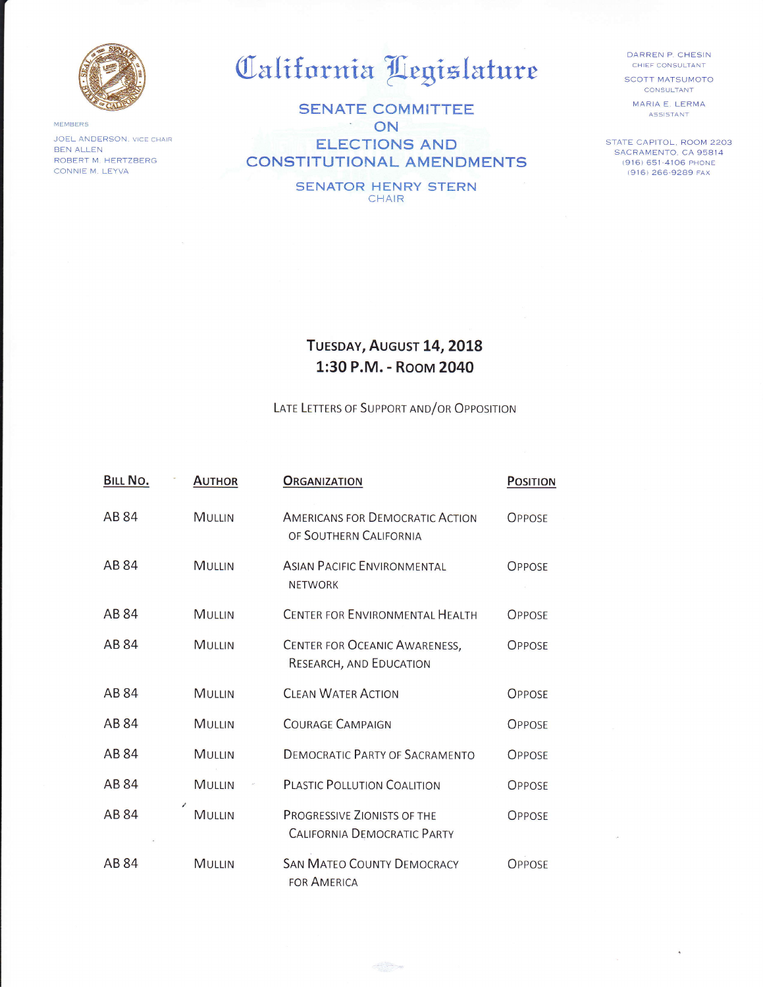

MEMBERS JOEL ANDERSON, VICE CHAIR **BEN ALLEN** ROBERT M. HERTZBERG CONNIE M. LEYVA

## California Legislature

**SENATE COMMITTEE** ON **ELECTIONS AND CONSTITUTIONAL AMENDMENTS** 

> **SENATOR HENRY STERN** CHAIR

DARREN P. CHESIN CHIEF CONSULTANT

**SCOTT MATSUMOTO** CONSULTANT

MARIA E. LERMA ASSISTANT

STATE CAPITOL, ROOM 2203 SACRAMENTO, CA 95814 (916) 651-4106 PHONE (916) 266-9289 FAX

## TUESDAY, AUGUST 14, 2018 1:30 P.M. - Room 2040

LATE LETTERS OF SUPPORT AND/OR OPPOSITION

| BILL NO. | <b>AUTHOR</b> | <b>ORGANIZATION</b>                                              | <b>POSITION</b> |
|----------|---------------|------------------------------------------------------------------|-----------------|
| AB 84    | <b>MULLIN</b> | <b>AMERICANS FOR DEMOCRATIC ACTION</b><br>OF SOUTHERN CALIFORNIA | <b>OPPOSE</b>   |
| AB 84    | MULLIN        | <b>ASIAN PACIFIC ENVIRONMENTAL</b><br><b>NETWORK</b>             | <b>OPPOSE</b>   |
| AB 84    | <b>MULLIN</b> | <b>CENTER FOR ENVIRONMENTAL HEALTH</b>                           | <b>OPPOSE</b>   |
| AB 84    | <b>MULLIN</b> | CENTER FOR OCEANIC AWARENESS,<br>RESEARCH, AND EDUCATION         | <b>OPPOSE</b>   |
| AB 84    | <b>MULLIN</b> | <b>CLEAN WATER ACTION</b>                                        | <b>OPPOSE</b>   |
| AB 84    | <b>MULLIN</b> | <b>COURAGE CAMPAIGN</b>                                          | <b>OPPOSE</b>   |
| AB 84    | <b>MULLIN</b> | <b>DEMOCRATIC PARTY OF SACRAMENTO</b>                            | <b>OPPOSE</b>   |
| AB 84    | MULLIN        | <b>PLASTIC POLLUTION COALITION</b>                               | <b>OPPOSE</b>   |
| AB 84    | <b>MULLIN</b> | PROGRESSIVE ZIONISTS OF THE<br>CALIFORNIA DEMOCRATIC PARTY       | <b>OPPOSE</b>   |
| AB 84    | <b>MULLIN</b> | <b>SAN MATEO COUNTY DEMOCRACY</b><br><b>FOR AMERICA</b>          | <b>OPPOSE</b>   |